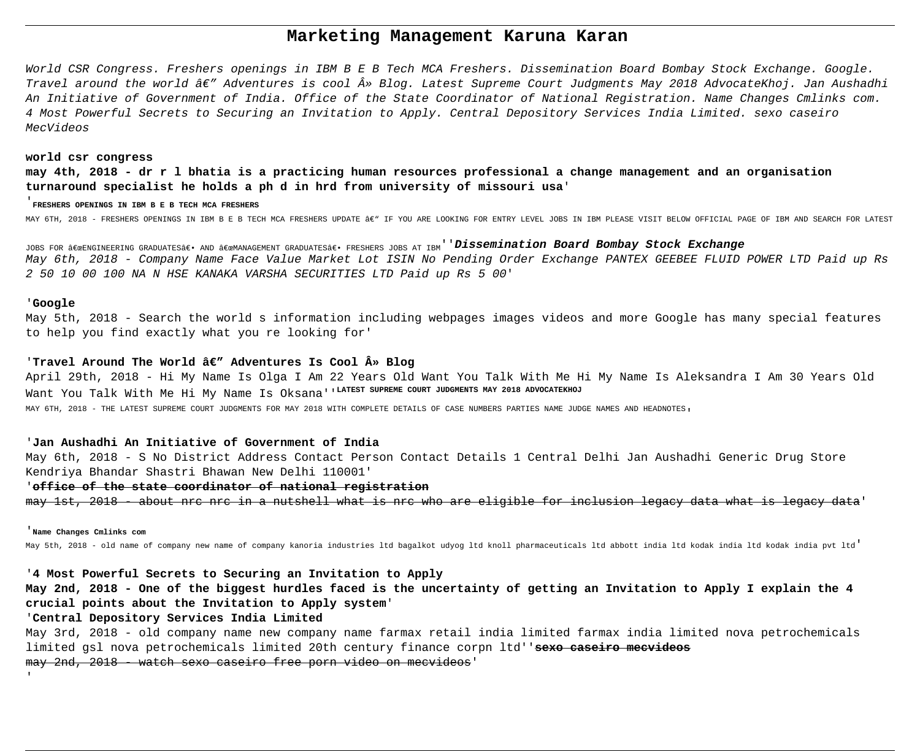# **Marketing Management Karuna Karan**

World CSR Congress. Freshers openings in IBM B E B Tech MCA Freshers. Dissemination Board Bombay Stock Exchange. Google. Travel around the world â $\varepsilon''$  Adventures is cool » Blog. Latest Supreme Court Judgments May 2018 AdvocateKhoj. Jan Aushadhi An Initiative of Government of India. Office of the State Coordinator of National Registration. Name Changes Cmlinks com. 4 Most Powerful Secrets to Securing an Invitation to Apply. Central Depository Services India Limited. sexo caseiro MecVideos

#### **world csr congress**

**may 4th, 2018 - dr r l bhatia is a practicing human resources professional a change management and an organisation turnaround specialist he holds a ph d in hrd from university of missouri usa**'

#### '**FRESHERS OPENINGS IN IBM B E B TECH MCA FRESHERS**

MAY 6TH, 2018 - FRESHERS OPENINGS IN IBM B E B TECH MCA FRESHERS UPDATE â€" IF YOU ARE LOOKING FOR ENTRY LEVEL JOBS IN IBM PLEASE VISIT BELOW OFFICIAL PAGE OF IBM AND SEARCH FOR LATEST

JOBS FOR "ENGINEERING GRADUATES― AND "MANAGEMENT GRADUATES― FRESHERS JOBS AT IBM''**Dissemination Board Bombay Stock Exchange** May 6th, 2018 - Company Name Face Value Market Lot ISIN No Pending Order Exchange PANTEX GEEBEE FLUID POWER LTD Paid up Rs 2 50 10 00 100 NA N HSE KANAKA VARSHA SECURITIES LTD Paid up Rs 5 00'

#### '**Google**

May 5th, 2018 - Search the world s information including webpages images videos and more Google has many special features to help you find exactly what you re looking for'

#### 'Travel Around The World â $\epsilon''$  Adventures Is Cool » Blog

April 29th, 2018 - Hi My Name Is Olga I Am 22 Years Old Want You Talk With Me Hi My Name Is Aleksandra I Am 30 Years Old Want You Talk With Me Hi My Name Is Oksana'<sup>'LATEST</sup> SUPREME COURT JUDGMENTS MAY 2018 ADVOCATEKHOJ MAY 6TH, 2018 - THE LATEST SUPREME COURT JUDGMENTS FOR MAY 2018 WITH COMPLETE DETAILS OF CASE NUMBERS PARTIES NAME JUDGE NAMES AND HEADNOTES,

### '**Jan Aushadhi An Initiative of Government of India**

May 6th, 2018 - S No District Address Contact Person Contact Details 1 Central Delhi Jan Aushadhi Generic Drug Store Kendriya Bhandar Shastri Bhawan New Delhi 110001'

## '**office of the state coordinator of national registration**

may 1st, 2018 - about nrc nrc in a nutshell what is nrc who are eligible for inclusion legacy data what is legacy data'

#### '**Name Changes Cmlinks com**

'

May 5th, 2018 - old name of company new name of company kanoria industries ltd bagalkot udyog ltd knoll pharmaceuticals ltd abbott india ltd kodak india ltd kodak india pvt ltd'

## '**4 Most Powerful Secrets to Securing an Invitation to Apply**

**May 2nd, 2018 - One of the biggest hurdles faced is the uncertainty of getting an Invitation to Apply I explain the 4 crucial points about the Invitation to Apply system**'

# '**Central Depository Services India Limited**

May 3rd, 2018 - old company name new company name farmax retail india limited farmax india limited nova petrochemicals limited gsl nova petrochemicals limited 20th century finance corpn ltd''**sexo caseiro mecvideos** may 2nd, 2018 - watch sexo caseiro free porn video on mecvideos'